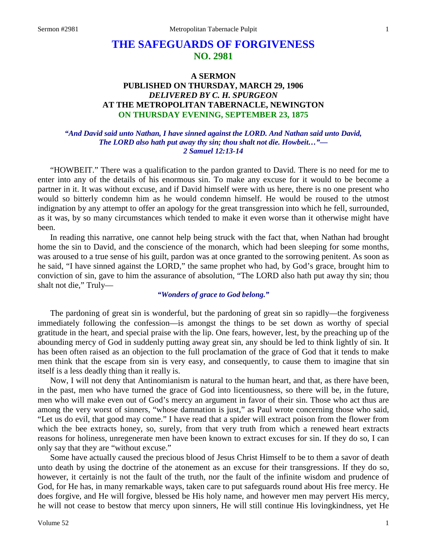# **THE SAFEGUARDS OF FORGIVENESS NO. 2981**

# **A SERMON PUBLISHED ON THURSDAY, MARCH 29, 1906** *DELIVERED BY C. H. SPURGEON* **AT THE METROPOLITAN TABERNACLE, NEWINGTON ON THURSDAY EVENING, SEPTEMBER 23, 1875**

#### *"And David said unto Nathan, I have sinned against the LORD. And Nathan said unto David, The LORD also hath put away thy sin; thou shalt not die. Howbeit…"— 2 Samuel 12:13-14*

"HOWBEIT." There was a qualification to the pardon granted to David. There is no need for me to enter into any of the details of his enormous sin. To make any excuse for it would to be become a partner in it. It was without excuse, and if David himself were with us here, there is no one present who would so bitterly condemn him as he would condemn himself. He would be roused to the utmost indignation by any attempt to offer an apology for the great transgression into which he fell, surrounded, as it was, by so many circumstances which tended to make it even worse than it otherwise might have been.

In reading this narrative, one cannot help being struck with the fact that, when Nathan had brought home the sin to David, and the conscience of the monarch, which had been sleeping for some months, was aroused to a true sense of his guilt, pardon was at once granted to the sorrowing penitent. As soon as he said, "I have sinned against the LORD," the same prophet who had, by God's grace, brought him to conviction of sin, gave to him the assurance of absolution, "The LORD also hath put away thy sin; thou shalt not die," Truly—

### *"Wonders of grace to God belong."*

The pardoning of great sin is wonderful, but the pardoning of great sin so rapidly—the forgiveness immediately following the confession—is amongst the things to be set down as worthy of special gratitude in the heart, and special praise with the lip. One fears, however, lest, by the preaching up of the abounding mercy of God in suddenly putting away great sin, any should be led to think lightly of sin. It has been often raised as an objection to the full proclamation of the grace of God that it tends to make men think that the escape from sin is very easy, and consequently, to cause them to imagine that sin itself is a less deadly thing than it really is.

Now, I will not deny that Antinomianism is natural to the human heart, and that, as there have been, in the past, men who have turned the grace of God into licentiousness, so there will be, in the future, men who will make even out of God's mercy an argument in favor of their sin. Those who act thus are among the very worst of sinners, "whose damnation is just," as Paul wrote concerning those who said, "Let us do evil, that good may come." I have read that a spider will extract poison from the flower from which the bee extracts honey, so, surely, from that very truth from which a renewed heart extracts reasons for holiness, unregenerate men have been known to extract excuses for sin. If they do so, I can only say that they are "without excuse."

Some have actually caused the precious blood of Jesus Christ Himself to be to them a savor of death unto death by using the doctrine of the atonement as an excuse for their transgressions. If they do so, however, it certainly is not the fault of the truth, nor the fault of the infinite wisdom and prudence of God, for He has, in many remarkable ways, taken care to put safeguards round about His free mercy. He does forgive, and He will forgive, blessed be His holy name, and however men may pervert His mercy, he will not cease to bestow that mercy upon sinners, He will still continue His lovingkindness, yet He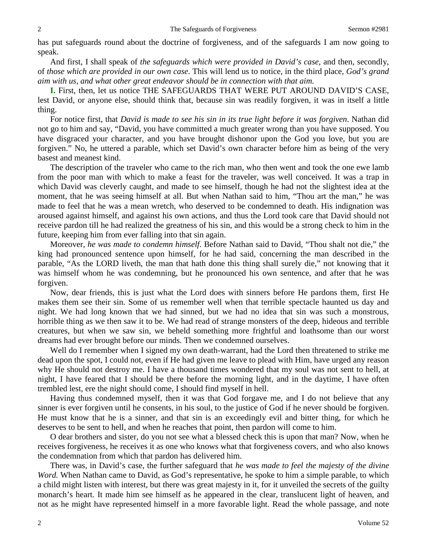has put safeguards round about the doctrine of forgiveness, and of the safeguards I am now going to speak.

And first, I shall speak of *the safeguards which were provided in David's case,* and then, secondly, of *those which are provided in our own case*. This will lend us to notice, in the third place, *God's grand aim with us, and what other great endeavor should be in connection with that aim.*

**I.** First, then, let us notice THE SAFEGUARDS THAT WERE PUT AROUND DAVID'S CASE, lest David, or anyone else, should think that, because sin was readily forgiven, it was in itself a little thing.

For notice first, that *David is made to see his sin in its true light before it was forgiven*. Nathan did not go to him and say, "David, you have committed a much greater wrong than you have supposed. You have disgraced your character, and you have brought dishonor upon the God you love, but you are forgiven." No, he uttered a parable, which set David's own character before him as being of the very basest and meanest kind.

The description of the traveler who came to the rich man, who then went and took the one ewe lamb from the poor man with which to make a feast for the traveler, was well conceived. It was a trap in which David was cleverly caught, and made to see himself, though he had not the slightest idea at the moment, that he was seeing himself at all. But when Nathan said to him, "Thou art the man," he was made to feel that he was a mean wretch, who deserved to be condemned to death. His indignation was aroused against himself, and against his own actions, and thus the Lord took care that David should not receive pardon till he had realized the greatness of his sin, and this would be a strong check to him in the future, keeping him from ever falling into that sin again.

Moreover, *he was made to condemn himself*. Before Nathan said to David, "Thou shalt not die," the king had pronounced sentence upon himself, for he had said, concerning the man described in the parable, "As the LORD liveth, the man that hath done this thing shall surely die," not knowing that it was himself whom he was condemning, but he pronounced his own sentence, and after that he was forgiven.

Now, dear friends, this is just what the Lord does with sinners before He pardons them, first He makes them see their sin. Some of us remember well when that terrible spectacle haunted us day and night. We had long known that we had sinned, but we had no idea that sin was such a monstrous, horrible thing as we then saw it to be. We had read of strange monsters of the deep, hideous and terrible creatures, but when we saw sin, we beheld something more frightful and loathsome than our worst dreams had ever brought before our minds. Then we condemned ourselves.

Well do I remember when I signed my own death-warrant, had the Lord then threatened to strike me dead upon the spot, I could not, even if He had given me leave to plead with Him, have urged any reason why He should not destroy me. I have a thousand times wondered that my soul was not sent to hell, at night, I have feared that I should be there before the morning light, and in the daytime, I have often trembled lest, ere the night should come, I should find myself in hell.

Having thus condemned myself, then it was that God forgave me, and I do not believe that any sinner is ever forgiven until he consents, in his soul, to the justice of God if he never should be forgiven. He must know that he is a sinner, and that sin is an exceedingly evil and bitter thing, for which he deserves to be sent to hell, and when he reaches that point, then pardon will come to him.

O dear brothers and sister, do you not see what a blessed check this is upon that man? Now, when he receives forgiveness, he receives it as one who knows what that forgiveness covers, and who also knows the condemnation from which that pardon has delivered him.

There was, in David's case, the further safeguard that *he was made to feel the majesty of the divine Word.* When Nathan came to David, as God's representative, he spoke to him a simple parable, to which a child might listen with interest, but there was great majesty in it, for it unveiled the secrets of the guilty monarch's heart. It made him see himself as he appeared in the clear, translucent light of heaven, and not as he might have represented himself in a more favorable light. Read the whole passage, and note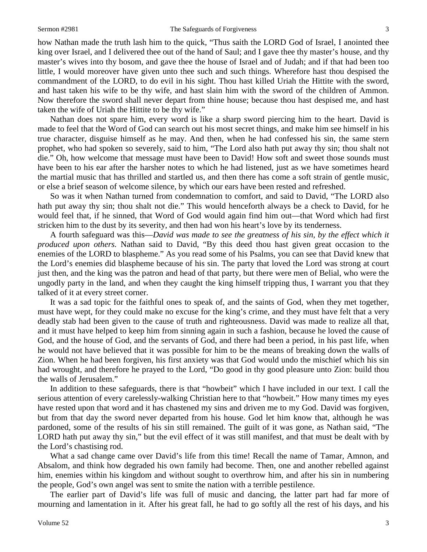how Nathan made the truth lash him to the quick, "Thus saith the LORD God of Israel, I anointed thee king over Israel, and I delivered thee out of the hand of Saul; and I gave thee thy master's house, and thy master's wives into thy bosom, and gave thee the house of Israel and of Judah; and if that had been too little, I would moreover have given unto thee such and such things. Wherefore hast thou despised the commandment of the LORD, to do evil in his sight. Thou hast killed Uriah the Hittite with the sword, and hast taken his wife to be thy wife, and hast slain him with the sword of the children of Ammon. Now therefore the sword shall never depart from thine house; because thou hast despised me, and hast taken the wife of Uriah the Hittite to be thy wife."

Nathan does not spare him, every word is like a sharp sword piercing him to the heart. David is made to feel that the Word of God can search out his most secret things, and make him see himself in his true character, disguise himself as he may. And then, when he had confessed his sin, the same stern prophet, who had spoken so severely, said to him, "The Lord also hath put away thy sin; thou shalt not die." Oh, how welcome that message must have been to David! How soft and sweet those sounds must have been to his ear after the harsher notes to which he had listened, just as we have sometimes heard the martial music that has thrilled and startled us, and then there has come a soft strain of gentle music, or else a brief season of welcome silence, by which our ears have been rested and refreshed.

So was it when Nathan turned from condemnation to comfort, and said to David, "The LORD also hath put away thy sin; thou shalt not die." This would henceforth always be a check to David, for he would feel that, if he sinned, that Word of God would again find him out—that Word which had first stricken him to the dust by its severity, and then had won his heart's love by its tenderness.

A fourth safeguard was this—*David was made to see the greatness of his sin, by the effect which it produced upon others.* Nathan said to David, "By this deed thou hast given great occasion to the enemies of the LORD to blaspheme." As you read some of his Psalms, you can see that David knew that the Lord's enemies did blaspheme because of his sin. The party that loved the Lord was strong at court just then, and the king was the patron and head of that party, but there were men of Belial, who were the ungodly party in the land, and when they caught the king himself tripping thus, I warrant you that they talked of it at every street corner.

It was a sad topic for the faithful ones to speak of, and the saints of God, when they met together, must have wept, for they could make no excuse for the king's crime, and they must have felt that a very deadly stab had been given to the cause of truth and righteousness. David was made to realize all that, and it must have helped to keep him from sinning again in such a fashion, because he loved the cause of God, and the house of God, and the servants of God, and there had been a period, in his past life, when he would not have believed that it was possible for him to be the means of breaking down the walls of Zion. When he had been forgiven, his first anxiety was that God would undo the mischief which his sin had wrought, and therefore he prayed to the Lord, "Do good in thy good pleasure unto Zion: build thou the walls of Jerusalem."

In addition to these safeguards, there is that "howbeit" which I have included in our text. I call the serious attention of every carelessly-walking Christian here to that "howbeit." How many times my eyes have rested upon that word and it has chastened my sins and driven me to my God. David was forgiven, but from that day the sword never departed from his house. God let him know that, although he was pardoned, some of the results of his sin still remained. The guilt of it was gone, as Nathan said, "The LORD hath put away thy sin," but the evil effect of it was still manifest, and that must be dealt with by the Lord's chastising rod.

What a sad change came over David's life from this time! Recall the name of Tamar, Amnon, and Absalom, and think how degraded his own family had become. Then, one and another rebelled against him, enemies within his kingdom and without sought to overthrow him, and after his sin in numbering the people, God's own angel was sent to smite the nation with a terrible pestilence.

The earlier part of David's life was full of music and dancing, the latter part had far more of mourning and lamentation in it. After his great fall, he had to go softly all the rest of his days, and his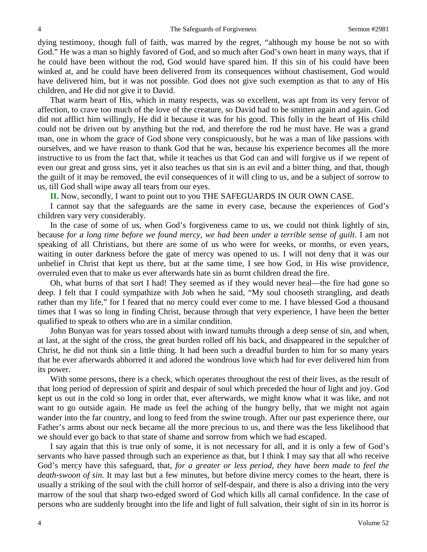dying testimony, though full of faith, was marred by the regret, "although my house be not so with God." He was a man so highly favored of God, and so much after God's own heart in many ways, that if he could have been without the rod, God would have spared him. If this sin of his could have been winked at, and he could have been delivered from its consequences without chastisement, God would have delivered him, but it was not possible. God does not give such exemption as that to any of His children, and He did not give it to David.

That warm heart of His, which in many respects, was so excellent, was apt from its very fervor of affection, to crave too much of the love of the creature, so David had to be smitten again and again. God did not afflict him willingly, He did it because it was for his good. This folly in the heart of His child could not be driven out by anything but the rod, and therefore the rod he must have. He was a grand man, one in whom the grace of God shone very conspicuously, but he was a man of like passions with ourselves, and we have reason to thank God that he was, because his experience becomes all the more instructive to us from the fact that, while it teaches us that God can and will forgive us if we repent of even our great and gross sins, yet it also teaches us that sin is an evil and a bitter thing, and that, though the guilt of it may be removed, the evil consequences of it will cling to us, and be a subject of sorrow to us, till God shall wipe away all tears from our eyes.

**II.** Now, secondly, I want to point out to you THE SAFEGUARDS IN OUR OWN CASE.

I cannot say that the safeguards are the same in every case, because the experiences of God's children vary very considerably.

In the case of some of us, when God's forgiveness came to us, we could not think lightly of sin, because *for a long time before we found mercy, we had been under a terrible sense of guilt*. I am not speaking of all Christians, but there are some of us who were for weeks, or months, or even years, waiting in outer darkness before the gate of mercy was opened to us. I will not deny that it was our unbelief in Christ that kept us there, but at the same time, I see how God, in His wise providence, overruled even that to make us ever afterwards hate sin as burnt children dread the fire.

Oh, what burns of that sort I had! They seemed as if they would never heal—the fire had gone so deep. I felt that I could sympathize with Job when he said, "My soul chooseth strangling, and death rather than my life," for I feared that no mercy could ever come to me. I have blessed God a thousand times that I was so long in finding Christ, because through that very experience, I have been the better qualified to speak to others who are in a similar condition.

John Bunyan was for years tossed about with inward tumults through a deep sense of sin, and when, at last, at the sight of the cross, the great burden rolled off his back, and disappeared in the sepulcher of Christ, he did not think sin a little thing. It had been such a dreadful burden to him for so many years that he ever afterwards abhorred it and adored the wondrous love which had for ever delivered him from its power.

With some persons, there is a check, which operates throughout the rest of their lives, as the result of that long period of depression of spirit and despair of soul which preceded the hour of light and joy. God kept us out in the cold so long in order that, ever afterwards, we might know what it was like, and not want to go outside again. He made us feel the aching of the hungry belly, that we might not again wander into the far country, and long to feed from the swine trough. After our past experience there, our Father's arms about our neck became all the more precious to us, and there was the less likelihood that we should ever go back to that state of shame and sorrow from which we had escaped.

I say again that this is true only of some, it is not necessary for all, and it is only a few of God's servants who have passed through such an experience as that, but I think I may say that all who receive God's mercy have this safeguard, that, *for a greater or less period, they have been made to feel the death-swoon of sin.* It may last but a few minutes, but before divine mercy comes to the heart, there is usually a striking of the soul with the chill horror of self-despair, and there is also a driving into the very marrow of the soul that sharp two-edged sword of God which kills all carnal confidence. In the case of persons who are suddenly brought into the life and light of full salvation, their sight of sin in its horror is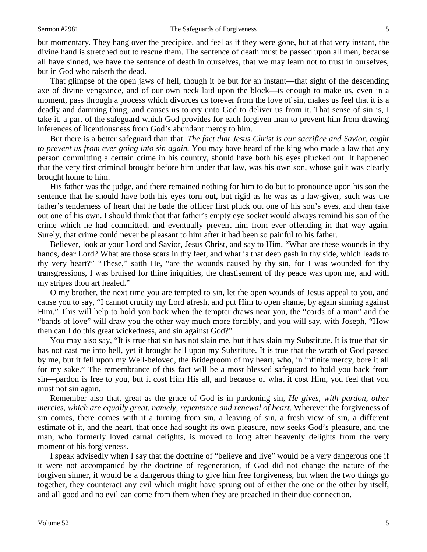but momentary. They hang over the precipice, and feel as if they were gone, but at that very instant, the divine hand is stretched out to rescue them. The sentence of death must be passed upon all men, because all have sinned, we have the sentence of death in ourselves, that we may learn not to trust in ourselves, but in God who raiseth the dead.

That glimpse of the open jaws of hell, though it be but for an instant—that sight of the descending axe of divine vengeance, and of our own neck laid upon the block—is enough to make us, even in a moment, pass through a process which divorces us forever from the love of sin, makes us feel that it is a deadly and damning thing, and causes us to cry unto God to deliver us from it. That sense of sin is, I take it, a part of the safeguard which God provides for each forgiven man to prevent him from drawing inferences of licentiousness from God's abundant mercy to him.

But there is a better safeguard than that. *The fact that Jesus Christ is our sacrifice and Savior, ought to prevent us from ever going into sin again.* You may have heard of the king who made a law that any person committing a certain crime in his country, should have both his eyes plucked out. It happened that the very first criminal brought before him under that law, was his own son, whose guilt was clearly brought home to him.

His father was the judge, and there remained nothing for him to do but to pronounce upon his son the sentence that he should have both his eyes torn out, but rigid as he was as a law-giver, such was the father's tenderness of heart that he bade the officer first pluck out one of his son's eyes, and then take out one of his own. I should think that that father's empty eye socket would always remind his son of the crime which he had committed, and eventually prevent him from ever offending in that way again. Surely, that crime could never be pleasant to him after it had been so painful to his father.

Believer, look at your Lord and Savior, Jesus Christ, and say to Him, "What are these wounds in thy hands, dear Lord? What are those scars in thy feet, and what is that deep gash in thy side, which leads to thy very heart?" "These," saith He, "are the wounds caused by thy sin, for I was wounded for thy transgressions, I was bruised for thine iniquities, the chastisement of thy peace was upon me, and with my stripes thou art healed."

O my brother, the next time you are tempted to sin, let the open wounds of Jesus appeal to you, and cause you to say, "I cannot crucify my Lord afresh, and put Him to open shame, by again sinning against Him." This will help to hold you back when the tempter draws near you, the "cords of a man" and the "bands of love" will draw you the other way much more forcibly, and you will say, with Joseph, "How then can I do this great wickedness, and sin against God?"

You may also say, "It is true that sin has not slain me, but it has slain my Substitute. It is true that sin has not cast me into hell, yet it brought hell upon my Substitute. It is true that the wrath of God passed by me, but it fell upon my Well-beloved, the Bridegroom of my heart, who, in infinite mercy, bore it all for my sake." The remembrance of this fact will be a most blessed safeguard to hold you back from sin—pardon is free to you, but it cost Him His all, and because of what it cost Him, you feel that you must not sin again.

Remember also that, great as the grace of God is in pardoning sin, *He gives, with pardon, other mercies, which are equally great, namely, repentance and renewal of heart*. Wherever the forgiveness of sin comes, there comes with it a turning from sin, a leaving of sin, a fresh view of sin, a different estimate of it, and the heart, that once had sought its own pleasure, now seeks God's pleasure, and the man, who formerly loved carnal delights, is moved to long after heavenly delights from the very moment of his forgiveness.

I speak advisedly when I say that the doctrine of "believe and live" would be a very dangerous one if it were not accompanied by the doctrine of regeneration, if God did not change the nature of the forgiven sinner, it would be a dangerous thing to give him free forgiveness, but when the two things go together, they counteract any evil which might have sprung out of either the one or the other by itself, and all good and no evil can come from them when they are preached in their due connection.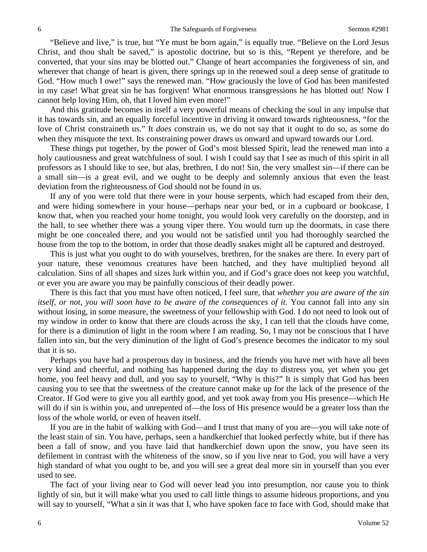"Believe and live," is true, but "Ye must be born again," is equally true. "Believe on the Lord Jesus Christ, and thou shalt be saved," is apostolic doctrine, but so is this, "Repent ye therefore, and be converted, that your sins may be blotted out." Change of heart accompanies the forgiveness of sin, and wherever that change of heart is given, there springs up in the renewed soul a deep sense of gratitude to God. "How much I owe!" says the renewed man. "How graciously the love of God has been manifested in my case! What great sin he has forgiven! What enormous transgressions he has blotted out! Now I cannot help loving Him, oh, that I loved him even more!"

And this gratitude becomes in itself a very powerful means of checking the soul in any impulse that it has towards sin, and an equally forceful incentive in driving it onward towards righteousness, "for the love of Christ constraineth us." It *does* constrain us, we do not say that it ought to do so, as some do when they misquote the text. Its constraining power draws us onward and upward towards our Lord.

These things put together, by the power of God's most blessed Spirit, lead the renewed man into a holy cautiousness and great watchfulness of soul. I wish I could say that I see as much of this spirit in all professors as I should like to see, but alas, brethren, I do not! Sin, the very smallest sin—if there can be a small sin—is a great evil, and we ought to be deeply and solemnly anxious that even the least deviation from the righteousness of God should not be found in us.

If any of you were told that there were in your house serpents, which had escaped from their den, and were hiding somewhere in your house—perhaps near your bed, or in a cupboard or bookcase, I know that, when you reached your home tonight, you would look very carefully on the doorstep, and in the hall, to see whether there was a young viper there. You would turn up the doormats, in case there might be one concealed there, and you would not be satisfied until you had thoroughly searched the house from the top to the bottom, in order that those deadly snakes might all be captured and destroyed.

This is just what you ought to do with yourselves, brethren, for the snakes are there. In every part of your nature, these venomous creatures have been hatched, and they have multiplied beyond all calculation. Sins of all shapes and sizes lurk within you, and if God's grace does not keep you watchful, or ever you are aware you may be painfully conscious of their deadly power.

There is this fact that you must have often noticed, I feel sure, that *whether you are aware of the sin itself, or not, you will soon have to be aware of the consequences of it.* You cannot fall into any sin without losing, in some measure, the sweetness of your fellowship with God. I do not need to look out of my window in order to know that there are clouds across the sky, I can tell that the clouds have come, for there is a diminution of light in the room where I am reading. So, I may not be conscious that I have fallen into sin, but the very diminution of the light of God's presence becomes the indicator to my soul that it is so.

Perhaps you have had a prosperous day in business, and the friends you have met with have all been very kind and cheerful, and nothing has happened during the day to distress you, yet when you get home, you feel heavy and dull, and you say to yourself, "Why is this?" It is simply that God has been causing you to see that the sweetness of the creature cannot make up for the lack of the presence of the Creator. If God were to give you all earthly good, and yet took away from you His presence—which He will do if sin is within you, and unrepented of—the loss of His presence would be a greater loss than the loss of the whole world, or even of heaven itself.

If you are in the habit of walking with God—and I trust that many of you are—you will take note of the least stain of sin. You have, perhaps, seen a handkerchief that looked perfectly white, but if there has been a fall of snow, and you have laid that handkerchief down upon the snow, you have seen its defilement in contrast with the whiteness of the snow, so if you live near to God, you will have a very high standard of what you ought to be, and you will see a great deal more sin in yourself than you ever used to see.

The fact of your living near to God will never lead you into presumption, nor cause you to think lightly of sin, but it will make what you used to call little things to assume hideous proportions, and you will say to yourself, "What a sin it was that I, who have spoken face to face with God, should make that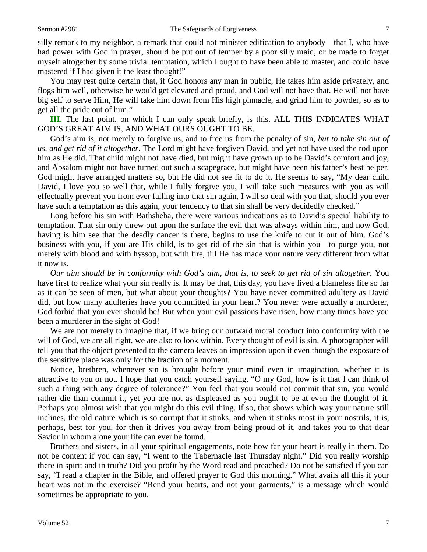silly remark to my neighbor, a remark that could not minister edification to anybody—that I, who have had power with God in prayer, should be put out of temper by a poor silly maid, or be made to forget myself altogether by some trivial temptation, which I ought to have been able to master, and could have mastered if I had given it the least thought!"

You may rest quite certain that, if God honors any man in public, He takes him aside privately, and flogs him well, otherwise he would get elevated and proud, and God will not have that. He will not have big self to serve Him, He will take him down from His high pinnacle, and grind him to powder, so as to get all the pride out of him."

**III.** The last point, on which I can only speak briefly, is this. ALL THIS INDICATES WHAT GOD'S GREAT AIM IS, AND WHAT OURS OUGHT TO BE.

God's aim is, not merely to forgive us, and to free us from the penalty of sin, *but to take sin out of us, and get rid of it altogether.* The Lord might have forgiven David, and yet not have used the rod upon him as He did. That child might not have died, but might have grown up to be David's comfort and joy, and Absalom might not have turned out such a scapegrace, but might have been his father's best helper. God might have arranged matters so, but He did not see fit to do it. He seems to say, "My dear child David, I love you so well that, while I fully forgive you, I will take such measures with you as will effectually prevent you from ever falling into that sin again, I will so deal with you that, should you ever have such a temptation as this again, your tendency to that sin shall be very decidedly checked."

Long before his sin with Bathsheba, there were various indications as to David's special liability to temptation. That sin only threw out upon the surface the evil that was always within him, and now God, having is him see that the deadly cancer is there, begins to use the knife to cut it out of him. God's business with you, if you are His child, is to get rid of the sin that is within you—to purge you, not merely with blood and with hyssop, but with fire, till He has made your nature very different from what it now is.

*Our aim should be in conformity with God's aim, that is, to seek to get rid of sin altogether*. You have first to realize what your sin really is. It may be that, this day, you have lived a blameless life so far as it can be seen of men, but what about your thoughts? You have never committed adultery as David did, but how many adulteries have you committed in your heart? You never were actually a murderer, God forbid that you ever should be! But when your evil passions have risen, how many times have you been a murderer in the sight of God!

We are not merely to imagine that, if we bring our outward moral conduct into conformity with the will of God, we are all right, we are also to look within. Every thought of evil is sin. A photographer will tell you that the object presented to the camera leaves an impression upon it even though the exposure of the sensitive place was only for the fraction of a moment.

Notice, brethren, whenever sin is brought before your mind even in imagination, whether it is attractive to you or not. I hope that you catch yourself saying, "O my God, how is it that I can think of such a thing with any degree of tolerance?" You feel that you would not commit that sin, you would rather die than commit it, yet you are not as displeased as you ought to be at even the thought of it. Perhaps you almost wish that you might do this evil thing. If so, that shows which way your nature still inclines, the old nature which is so corrupt that it stinks, and when it stinks most in your nostrils, it is, perhaps, best for you, for then it drives you away from being proud of it, and takes you to that dear Savior in whom alone your life can ever be found.

Brothers and sisters, in all your spiritual engagements, note how far your heart is really in them. Do not be content if you can say, "I went to the Tabernacle last Thursday night." Did you really worship there in spirit and in truth? Did you profit by the Word read and preached? Do not be satisfied if you can say, "I read a chapter in the Bible, and offered prayer to God this morning." What avails all this if your heart was not in the exercise? "Rend your hearts, and not your garments," is a message which would sometimes be appropriate to you.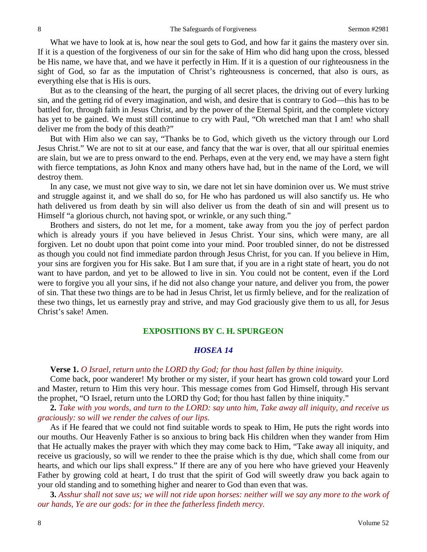What we have to look at is, how near the soul gets to God, and how far it gains the mastery over sin. If it is a question of the forgiveness of our sin for the sake of Him who did hang upon the cross, blessed be His name, we have that, and we have it perfectly in Him. If it is a question of our righteousness in the sight of God, so far as the imputation of Christ's righteousness is concerned, that also is ours, as everything else that is His is ours.

But as to the cleansing of the heart, the purging of all secret places, the driving out of every lurking sin, and the getting rid of every imagination, and wish, and desire that is contrary to God—this has to be battled for, through faith in Jesus Christ, and by the power of the Eternal Spirit, and the complete victory has yet to be gained. We must still continue to cry with Paul, "Oh wretched man that I am! who shall deliver me from the body of this death?"

But with Him also we can say, "Thanks be to God, which giveth us the victory through our Lord Jesus Christ." We are not to sit at our ease, and fancy that the war is over, that all our spiritual enemies are slain, but we are to press onward to the end. Perhaps, even at the very end, we may have a stern fight with fierce temptations, as John Knox and many others have had, but in the name of the Lord, we will destroy them.

In any case, we must not give way to sin, we dare not let sin have dominion over us. We must strive and struggle against it, and we shall do so, for He who has pardoned us will also sanctify us. He who hath delivered us from death by sin will also deliver us from the death of sin and will present us to Himself "a glorious church, not having spot, or wrinkle, or any such thing."

Brothers and sisters, do not let me, for a moment, take away from you the joy of perfect pardon which is already yours if you have believed in Jesus Christ. Your sins, which were many, are all forgiven. Let no doubt upon that point come into your mind. Poor troubled sinner, do not be distressed as though you could not find immediate pardon through Jesus Christ, for you can. If you believe in Him, your sins are forgiven you for His sake. But I am sure that, if you are in a right state of heart, you do not want to have pardon, and yet to be allowed to live in sin. You could not be content, even if the Lord were to forgive you all your sins, if he did not also change your nature, and deliver you from, the power of sin. That these two things are to be had in Jesus Christ, let us firmly believe, and for the realization of these two things, let us earnestly pray and strive, and may God graciously give them to us all, for Jesus Christ's sake! Amen.

#### **EXPOSITIONS BY C. H. SPURGEON**

### *HOSEA 14*

#### **Verse 1.** *O Israel, return unto the LORD thy God; for thou hast fallen by thine iniquity.*

Come back, poor wanderer! My brother or my sister, if your heart has grown cold toward your Lord and Master, return to Him this very hour. This message comes from God Himself, through His servant the prophet, "O Israel, return unto the LORD thy God; for thou hast fallen by thine iniquity."

**2.** *Take with you words, and turn to the LORD: say unto him, Take away all iniquity, and receive us graciously: so will we render the calves of our lips.*

As if He feared that we could not find suitable words to speak to Him, He puts the right words into our mouths. Our Heavenly Father is so anxious to bring back His children when they wander from Him that He actually makes the prayer with which they may come back to Him, "Take away all iniquity, and receive us graciously, so will we render to thee the praise which is thy due, which shall come from our hearts, and which our lips shall express." If there are any of you here who have grieved your Heavenly Father by growing cold at heart, I do trust that the spirit of God will sweetly draw you back again to your old standing and to something higher and nearer to God than even that was.

**3.** *Asshur shall not save us; we will not ride upon horses: neither will we say any more to the work of our hands, Ye are our gods: for in thee the fatherless findeth mercy.*